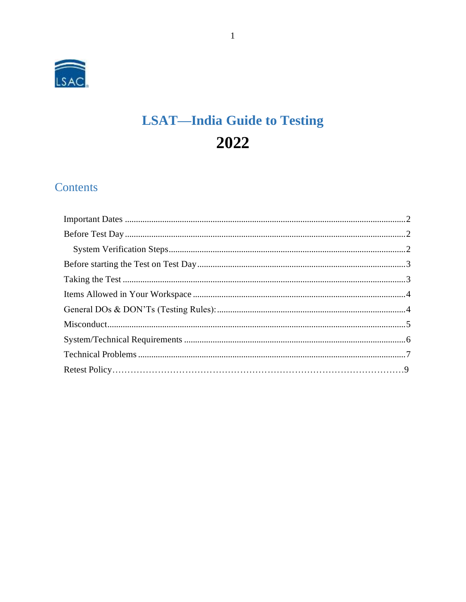

# **LSAT-India Guide to Testing** 2022

# Contents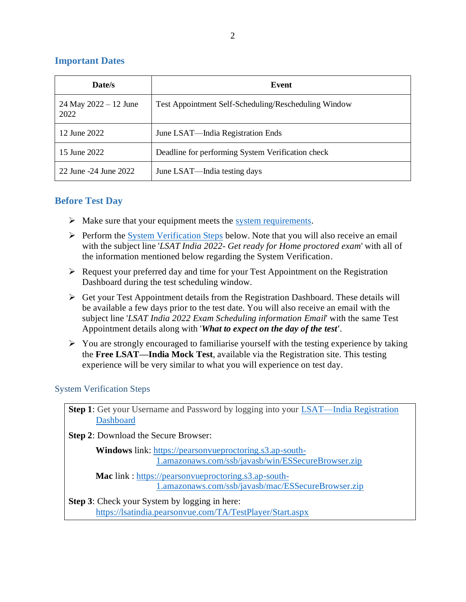#### <span id="page-1-0"></span>**Important Dates**

| Date/s                            | Event                                                |
|-----------------------------------|------------------------------------------------------|
| $24$ May $2022 - 12$ June<br>2022 | Test Appointment Self-Scheduling/Rescheduling Window |
| 12 June 2022                      | June LSAT—India Registration Ends                    |
| 15 June 2022                      | Deadline for performing System Verification check    |
| 22 June -24 June 2022             | June LSAT—India testing days                         |

# <span id="page-1-1"></span>**Before Test Day**

- $\triangleright$  Make sure that your equipment meets the [system requirements.](#page-5-0)
- $\triangleright$  Perform the [System Verification Steps](#page-1-2) below. Note that you will also receive an email with the subject line '*LSAT India 2022- Get ready for Home proctored exam*' with all of the information mentioned below regarding the System Verification.
- ➢ Request your preferred day and time for your Test Appointment on the Registration Dashboard during the test scheduling window.
- $\triangleright$  Get your Test Appointment details from the Registration Dashboard. These details will be available a few days prior to the test date. You will also receive an email with the subject line '*LSAT India 2022 Exam Scheduling information Email*' with the same Test Appointment details along with '*What to expect on the day of the test'*.
- ➢ You are strongly encouraged to familiarise yourself with the testing experience by taking the **Free LSAT—India Mock Test**, available via the Registration site. This testing experience will be very similar to what you will experience on test day.

#### <span id="page-1-2"></span>System Verification Steps

**Step 1**: Get your Username and Password by logging into your LSAT—India Registration [Dashboard](https://discoverlaw.excelindia.com/LSAT/)

**Step 2**: Download the Secure Browser:

 **Windows** link: [https://pearsonvueproctoring.s3.ap-south-](https://nam02.safelinks.protection.outlook.com/?url=https%3A%2F%2Fpearsonvueproctoring.s3.ap-south-1.amazonaws.com%2Fssb%2Fjavasb%2Fwin%2FESSecureBrowser.zip&data=04%7C01%7Cnitin.agrawal%40pearson.com%7Cdb4eeabc30cc406f931208d9c3b9f3aa%7C8cc434d797d047d3b5c514fe0e33e34b%7C0%7C0%7C637756026732578193%7CUnknown%7CTWFpbGZsb3d8eyJWIjoiMC4wLjAwMDAiLCJQIjoiV2luMzIiLCJBTiI6Ik1haWwiLCJXVCI6Mn0%3D%7C3000&sdata=aRD04fDwF25KgXg%2BljI7WILZB0OLpA8yLBvuU19w13w%3D&reserved=0)[1.amazonaws.com/ssb/javasb/win/ESSecureBrowser.zip](https://nam02.safelinks.protection.outlook.com/?url=https%3A%2F%2Fpearsonvueproctoring.s3.ap-south-1.amazonaws.com%2Fssb%2Fjavasb%2Fwin%2FESSecureBrowser.zip&data=04%7C01%7Cnitin.agrawal%40pearson.com%7Cdb4eeabc30cc406f931208d9c3b9f3aa%7C8cc434d797d047d3b5c514fe0e33e34b%7C0%7C0%7C637756026732578193%7CUnknown%7CTWFpbGZsb3d8eyJWIjoiMC4wLjAwMDAiLCJQIjoiV2luMzIiLCJBTiI6Ik1haWwiLCJXVCI6Mn0%3D%7C3000&sdata=aRD04fDwF25KgXg%2BljI7WILZB0OLpA8yLBvuU19w13w%3D&reserved=0)

 **Mac** link : [https://pearsonvueproctoring.s3.ap-south-](https://nam02.safelinks.protection.outlook.com/?url=https%3A%2F%2Fpearsonvueproctoring.s3.ap-south-1.amazonaws.com%2Fssb%2Fjavasb%2Fmac%2FESSecureBrowser.zip&data=04%7C01%7Cnitin.agrawal%40pearson.com%7Cdb4eeabc30cc406f931208d9c3b9f3aa%7C8cc434d797d047d3b5c514fe0e33e34b%7C0%7C0%7C637756026732578193%7CUnknown%7CTWFpbGZsb3d8eyJWIjoiMC4wLjAwMDAiLCJQIjoiV2luMzIiLCJBTiI6Ik1haWwiLCJXVCI6Mn0%3D%7C3000&sdata=ciSOigw6xaO12BxUxMdLS6mcSCn1vv0Idhhd7EUwXVE%3D&reserved=0)[1.amazonaws.com/ssb/javasb/mac/ESSecureBrowser.zip](https://nam02.safelinks.protection.outlook.com/?url=https%3A%2F%2Fpearsonvueproctoring.s3.ap-south-1.amazonaws.com%2Fssb%2Fjavasb%2Fmac%2FESSecureBrowser.zip&data=04%7C01%7Cnitin.agrawal%40pearson.com%7Cdb4eeabc30cc406f931208d9c3b9f3aa%7C8cc434d797d047d3b5c514fe0e33e34b%7C0%7C0%7C637756026732578193%7CUnknown%7CTWFpbGZsb3d8eyJWIjoiMC4wLjAwMDAiLCJQIjoiV2luMzIiLCJBTiI6Ik1haWwiLCJXVCI6Mn0%3D%7C3000&sdata=ciSOigw6xaO12BxUxMdLS6mcSCn1vv0Idhhd7EUwXVE%3D&reserved=0)

**Step 3**: Check your System by logging in here: [https://lsatindia.pearsonvue.com/TA/TestPlayer/Start.aspx](https://nam02.safelinks.protection.outlook.com/?url=https%3A%2F%2Flsatindia.pearsonvue.com%2FTA%2FTestPlayer%2FStart.aspx&data=04%7C01%7Cnitin.agrawal%40pearson.com%7Cdb4eeabc30cc406f931208d9c3b9f3aa%7C8cc434d797d047d3b5c514fe0e33e34b%7C0%7C0%7C637756026732578193%7CUnknown%7CTWFpbGZsb3d8eyJWIjoiMC4wLjAwMDAiLCJQIjoiV2luMzIiLCJBTiI6Ik1haWwiLCJXVCI6Mn0%3D%7C3000&sdata=17OoEUCpr5w%2Fg6k%2B9ICwi1FbZa7Bv%2F9a2SiTj8oMx%2FQ%3D&reserved=0)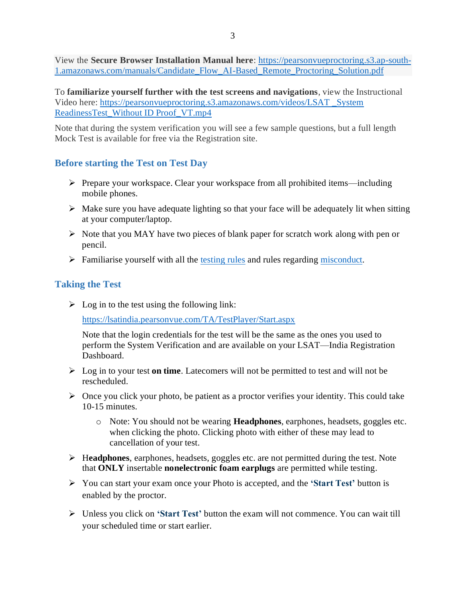View the **Secure Browser Installation Manual here**: [https://pearsonvueproctoring.s3.ap-south-](https://nam02.safelinks.protection.outlook.com/?url=https%3A%2F%2Fpearsonvueproctoring.s3.ap-south-1.amazonaws.com%2Fmanuals%2FCandidate_Flow_AI-Based_Remote_Proctoring_Solution.pdf&data=04%7C01%7Cnitin.agrawal%40pearson.com%7Cdb4eeabc30cc406f931208d9c3b9f3aa%7C8cc434d797d047d3b5c514fe0e33e34b%7C0%7C0%7C637756026732578193%7CUnknown%7CTWFpbGZsb3d8eyJWIjoiMC4wLjAwMDAiLCJQIjoiV2luMzIiLCJBTiI6Ik1haWwiLCJXVCI6Mn0%3D%7C3000&sdata=BIAy632JXm9qXfaM%2BU9LxxSdWdYr4OGc1dA2kBSHuMk%3D&reserved=0)[1.amazonaws.com/manuals/Candidate\\_Flow\\_AI-Based\\_Remote\\_Proctoring\\_Solution.pdf](https://nam02.safelinks.protection.outlook.com/?url=https%3A%2F%2Fpearsonvueproctoring.s3.ap-south-1.amazonaws.com%2Fmanuals%2FCandidate_Flow_AI-Based_Remote_Proctoring_Solution.pdf&data=04%7C01%7Cnitin.agrawal%40pearson.com%7Cdb4eeabc30cc406f931208d9c3b9f3aa%7C8cc434d797d047d3b5c514fe0e33e34b%7C0%7C0%7C637756026732578193%7CUnknown%7CTWFpbGZsb3d8eyJWIjoiMC4wLjAwMDAiLCJQIjoiV2luMzIiLCJBTiI6Ik1haWwiLCJXVCI6Mn0%3D%7C3000&sdata=BIAy632JXm9qXfaM%2BU9LxxSdWdYr4OGc1dA2kBSHuMk%3D&reserved=0)

To **familiarize yourself further with the test screens and navigations**, view the Instructional Video here: [https://pearsonvueproctoring.s3.amazonaws.com/videos/LSAT \\_System](https://nam02.safelinks.protection.outlook.com/?url=https%3A%2F%2Fpearsonvueproctoring.s3.amazonaws.com%2Fvideos%2FLSAT%2520_System%2520ReadinessTest_Without%2520ID%2520Proof_VT.mp4&data=04%7C01%7Cnitin.agrawal%40pearson.com%7Cdb4eeabc30cc406f931208d9c3b9f3aa%7C8cc434d797d047d3b5c514fe0e33e34b%7C0%7C0%7C637756026732578193%7CUnknown%7CTWFpbGZsb3d8eyJWIjoiMC4wLjAwMDAiLCJQIjoiV2luMzIiLCJBTiI6Ik1haWwiLCJXVCI6Mn0%3D%7C3000&sdata=GKuDAtCZJFfVDT9Fj%2FIUOFIWQEx3SnZIDZkPttYLJtQ%3D&reserved=0)  [ReadinessTest\\_Without ID Proof\\_VT.mp4](https://nam02.safelinks.protection.outlook.com/?url=https%3A%2F%2Fpearsonvueproctoring.s3.amazonaws.com%2Fvideos%2FLSAT%2520_System%2520ReadinessTest_Without%2520ID%2520Proof_VT.mp4&data=04%7C01%7Cnitin.agrawal%40pearson.com%7Cdb4eeabc30cc406f931208d9c3b9f3aa%7C8cc434d797d047d3b5c514fe0e33e34b%7C0%7C0%7C637756026732578193%7CUnknown%7CTWFpbGZsb3d8eyJWIjoiMC4wLjAwMDAiLCJQIjoiV2luMzIiLCJBTiI6Ik1haWwiLCJXVCI6Mn0%3D%7C3000&sdata=GKuDAtCZJFfVDT9Fj%2FIUOFIWQEx3SnZIDZkPttYLJtQ%3D&reserved=0)

Note that during the system verification you will see a few sample questions, but a full length Mock Test is available for free via the Registration site.

# <span id="page-2-0"></span>**Before starting the Test on Test Day**

- ➢ Prepare your workspace. Clear your workspace from all prohibited items—including mobile phones.
- $\triangleright$  Make sure you have adequate lighting so that your face will be adequately lit when sitting at your computer/laptop.
- ➢ Note that you MAY have two pieces of blank paper for scratch work along with pen or pencil.
- ➢ Familiarise yourself with all the [testing](#page-3-1) rules and rules regarding [misconduct.](#page-4-0)

# <span id="page-2-1"></span>**Taking the Test**

 $\triangleright$  Log in to the test using the following link:

[https://lsatindia.pearsonvue.com/TA/TestPlayer/Start.aspx](https://nam02.safelinks.protection.outlook.com/?url=https%3A%2F%2Flsatindia.pearsonvue.com%2FTA%2FTestPlayer%2FStart.aspx&data=04%7C01%7Cnitin.agrawal%40pearson.com%7Cdb4eeabc30cc406f931208d9c3b9f3aa%7C8cc434d797d047d3b5c514fe0e33e34b%7C0%7C0%7C637756026732578193%7CUnknown%7CTWFpbGZsb3d8eyJWIjoiMC4wLjAwMDAiLCJQIjoiV2luMzIiLCJBTiI6Ik1haWwiLCJXVCI6Mn0%3D%7C3000&sdata=17OoEUCpr5w%2Fg6k%2B9ICwi1FbZa7Bv%2F9a2SiTj8oMx%2FQ%3D&reserved=0)

Note that the login credentials for the test will be the same as the ones you used to perform the System Verification and are available on your LSAT—India Registration Dashboard.

- ➢ Log in to your test **on time**. Latecomers will not be permitted to test and will not be rescheduled.
- $\triangleright$  Once you click your photo, be patient as a proctor verifies your identity. This could take 10-15 minutes.
	- o Note: You should not be wearing **Headphones**, earphones, headsets, goggles etc. when clicking the photo. Clicking photo with either of these may lead to cancellation of your test.
- ➢ H**eadphones**, earphones, headsets, goggles etc. are not permitted during the test. Note that **ONLY** insertable **nonelectronic foam earplugs** are permitted while testing.
- ➢ You can start your exam once your Photo is accepted, and the **'Start Test'** button is enabled by the proctor.
- ➢ Unless you click on **'Start Test'** button the exam will not commence. You can wait till your scheduled time or start earlier.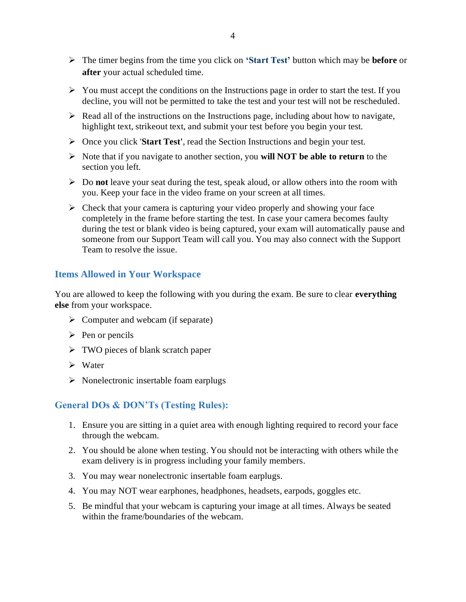- ➢ The timer begins from the time you click on **'Start Test'** button which may be **before** or **after** your actual scheduled time.
- $\triangleright$  You must accept the conditions on the Instructions page in order to start the test. If you decline, you will not be permitted to take the test and your test will not be rescheduled.
- $\triangleright$  Read all of the instructions on the Instructions page, including about how to navigate, highlight text, strikeout text, and submit your test before you begin your test.
- ➢ Once you click '**Start Test'**, read the Section Instructions and begin your test.
- ➢ Note that if you navigate to another section, you **will NOT be able to return** to the section you left.
- ➢ Do **not** leave your seat during the test, speak aloud, or allow others into the room with you. Keep your face in the video frame on your screen at all times.
- $\triangleright$  Check that your camera is capturing your video properly and showing your face completely in the frame before starting the test. In case your camera becomes faulty during the test or blank video is being captured, your exam will automatically pause and someone from our Support Team will call you. You may also connect with the Support Team to resolve the issue.

# <span id="page-3-0"></span>**Items Allowed in Your Workspace**

You are allowed to keep the following with you during the exam. Be sure to clear **everything else** from your workspace.

- $\triangleright$  Computer and webcam (if separate)
- $\triangleright$  Pen or pencils
- ➢ TWO pieces of blank scratch paper
- ➢ Water
- ➢ Nonelectronic insertable foam earplugs

# <span id="page-3-1"></span>**General DOs & DON'Ts (Testing Rules):**

- 1. Ensure you are sitting in a quiet area with enough lighting required to record your face through the webcam.
- 2. You should be alone when testing. You should not be interacting with others while the exam delivery is in progress including your family members.
- 3. You may wear nonelectronic insertable foam earplugs.
- 4. You may NOT wear earphones, headphones, headsets, earpods, goggles etc.
- 5. Be mindful that your webcam is capturing your image at all times. Always be seated within the frame/boundaries of the webcam.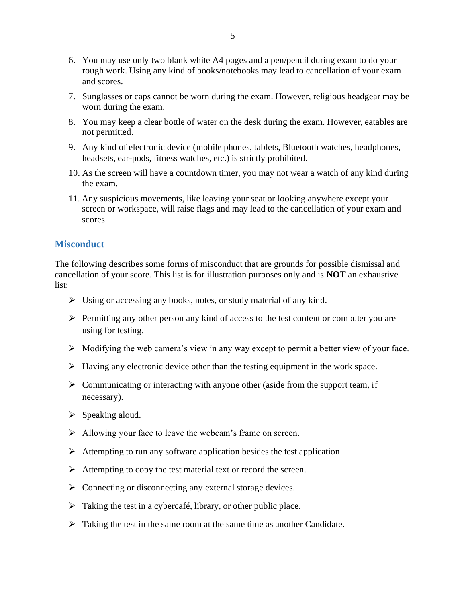- 6. You may use only two blank white A4 pages and a pen/pencil during exam to do your rough work. Using any kind of books/notebooks may lead to cancellation of your exam and scores.
- 7. Sunglasses or caps cannot be worn during the exam. However, religious headgear may be worn during the exam.
- 8. You may keep a clear bottle of water on the desk during the exam. However, eatables are not permitted.
- 9. Any kind of electronic device (mobile phones, tablets, Bluetooth watches, headphones, headsets, ear-pods, fitness watches, etc.) is strictly prohibited.
- 10. As the screen will have a countdown timer, you may not wear a watch of any kind during the exam.
- 11. Any suspicious movements, like leaving your seat or looking anywhere except your screen or workspace, will raise flags and may lead to the cancellation of your exam and scores.

#### <span id="page-4-0"></span>**Misconduct**

The following describes some forms of misconduct that are grounds for possible dismissal and cancellation of your score. This list is for illustration purposes only and is **NOT** an exhaustive list:

- ➢ Using or accessing any books, notes, or study material of any kind.
- $\triangleright$  Permitting any other person any kind of access to the test content or computer you are using for testing.
- $\triangleright$  Modifying the web camera's view in any way except to permit a better view of your face.
- ➢ Having any electronic device other than the testing equipment in the work space.
- ➢ Communicating or interacting with anyone other (aside from the support team, if necessary).
- $\triangleright$  Speaking aloud.
- ➢ Allowing your face to leave the webcam's frame on screen.
- ➢ Attempting to run any software application besides the test application.
- $\triangleright$  Attempting to copy the test material text or record the screen.
- ➢ Connecting or disconnecting any external storage devices.
- $\triangleright$  Taking the test in a cybercafé, library, or other public place.
- $\triangleright$  Taking the test in the same room at the same time as another Candidate.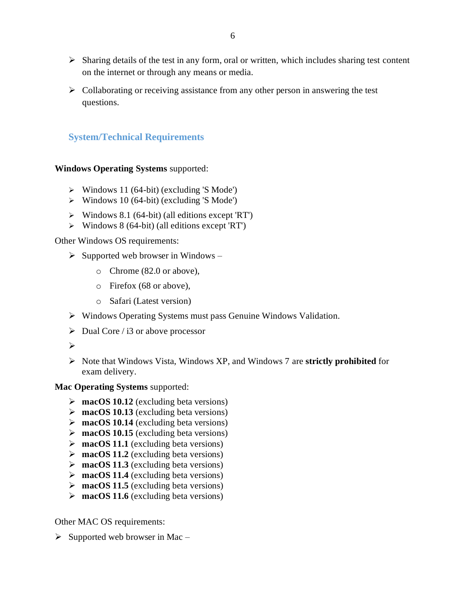- ➢ Sharing details of the test in any form, oral or written, which includes sharing test content on the internet or through any means or media.
- $\triangleright$  Collaborating or receiving assistance from any other person in answering the test questions.

# <span id="page-5-0"></span>**System/Technical Requirements**

#### **Windows Operating Systems** supported:

- $\triangleright$  Windows 11 (64-bit) (excluding 'S Mode')
- ➢ Windows 10 (64-bit) (excluding 'S Mode')
- ➢ Windows 8.1 (64-bit) (all editions except 'RT')
- ➢ Windows 8 (64-bit) (all editions except 'RT')

Other Windows OS requirements:

- $\triangleright$  Supported web browser in Windows
	- o Chrome (82.0 or above),
	- o Firefox (68 or above),
	- o Safari (Latest version)
- ➢ Windows Operating Systems must pass Genuine Windows Validation.
- $\triangleright$  Dual Core / i3 or above processor
- ➢
- ➢ Note that Windows Vista, Windows XP, and Windows 7 are **strictly prohibited** for exam delivery.

#### **Mac Operating Systems** supported:

- ➢ **macOS 10.12** (excluding beta versions)
- ➢ **macOS 10.13** (excluding beta versions)
- ➢ **macOS 10.14** (excluding beta versions)
- ➢ **macOS 10.15** (excluding beta versions)
- ➢ **macOS 11.1** (excluding beta versions)
- ➢ **macOS 11.2** (excluding beta versions)
- ➢ **macOS 11.3** (excluding beta versions)
- ➢ **macOS 11.4** (excluding beta versions)
- ➢ **macOS 11.5** (excluding beta versions)
- ➢ **macOS 11.6** (excluding beta versions)

Other MAC OS requirements:

 $\triangleright$  Supported web browser in Mac –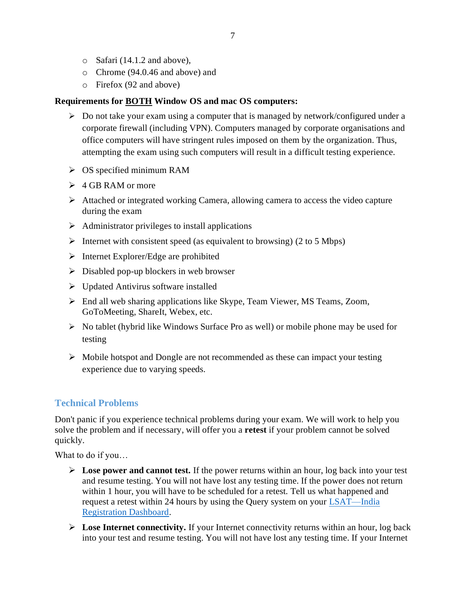- o Safari (14.1.2 and above),
- o Chrome (94.0.46 and above) and
- o Firefox (92 and above)

#### **Requirements for BOTH Window OS and mac OS computers:**

- ➢ Do not take your exam using a computer that is managed by network/configured under a corporate firewall (including VPN). Computers managed by corporate organisations and office computers will have stringent rules imposed on them by the organization. Thus, attempting the exam using such computers will result in a difficult testing experience.
- $\triangleright$  OS specified minimum RAM
- $\geq 4$  GB RAM or more
- ➢ Attached or integrated working Camera, allowing camera to access the video capture during the exam
- $\triangleright$  Administrator privileges to install applications
- $\triangleright$  Internet with consistent speed (as equivalent to browsing) (2 to 5 Mbps)
- ➢ Internet Explorer/Edge are prohibited
- $\triangleright$  Disabled pop-up blockers in web browser
- ➢ Updated Antivirus software installed
- ➢ End all web sharing applications like Skype, Team Viewer, MS Teams, Zoom, GoToMeeting, ShareIt, Webex, etc.
- $\triangleright$  No tablet (hybrid like Windows Surface Pro as well) or mobile phone may be used for testing
- $\triangleright$  Mobile hotspot and Dongle are not recommended as these can impact your testing experience due to varying speeds.

# <span id="page-6-0"></span>**Technical Problems**

Don't panic if you experience technical problems during your exam. We will work to help you solve the problem and if necessary, will offer you a **retest** if your problem cannot be solved quickly.

What to do if you…

- ➢ **Lose power and cannot test.** If the power returns within an hour, log back into your test and resume testing. You will not have lost any testing time. If the power does not return within 1 hour, you will have to be scheduled for a retest. Tell us what happened and request a retest within 24 hours by using the Query system on your [LSAT—India](https://discoverlaw.excelindia.com/LSAT/)  [Registration Dashboard.](https://discoverlaw.excelindia.com/LSAT/)
- ➢ **Lose Internet connectivity.** If your Internet connectivity returns within an hour, log back into your test and resume testing. You will not have lost any testing time. If your Internet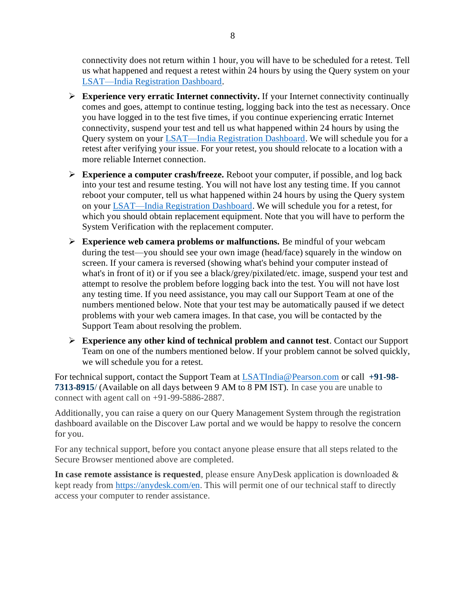connectivity does not return within 1 hour, you will have to be scheduled for a retest. Tell us what happened and request a retest within 24 hours by using the Query system on your [LSAT—India Registration Dashboard.](https://discoverlaw.excelindia.com/LSAT/)

- ➢ **Experience very erratic Internet connectivity.** If your Internet connectivity continually comes and goes, attempt to continue testing, logging back into the test as necessary. Once you have logged in to the test five times, if you continue experiencing erratic Internet connectivity, suspend your test and tell us what happened within 24 hours by using the Query system on your [LSAT—India Registration Dashboard.](https://discoverlaw.excelindia.com/LSAT/) We will schedule you for a retest after verifying your issue. For your retest, you should relocate to a location with a more reliable Internet connection.
- ➢ **Experience a computer crash/freeze.** Reboot your computer, if possible, and log back into your test and resume testing. You will not have lost any testing time. If you cannot reboot your computer, tell us what happened within 24 hours by using the Query system on your [LSAT—India Registration Dashboard.](https://discoverlaw.excelindia.com/LSAT/) We will schedule you for a retest, for which you should obtain replacement equipment. Note that you will have to perform the System Verification with the replacement computer.
- ➢ **Experience web camera problems or malfunctions.** Be mindful of your webcam during the test—you should see your own image (head/face) squarely in the window on screen. If your camera is reversed (showing what's behind your computer instead of what's in front of it) or if you see a black/grey/pixilated/etc. image, suspend your test and attempt to resolve the problem before logging back into the test. You will not have lost any testing time. If you need assistance, you may call our Support Team at one of the numbers mentioned below. Note that your test may be automatically paused if we detect problems with your web camera images. In that case, you will be contacted by the Support Team about resolving the problem.
- ➢ **Experience any other kind of technical problem and cannot test**. Contact our Support Team on one of the numbers mentioned below. If your problem cannot be solved quickly, we will schedule you for a retest.

For technical support, contact the Support Team at [LSATIndia@Pearson.com](mailto:LSATIndia@Pearson.com) or call **+91-98- 7313-8915**/ (Available on all days between 9 AM to 8 PM IST). In case you are unable to connect with agent call on +91-99-5886-2887.

Additionally, you can raise a query on our Query Management System through the registration dashboard available on the Discover Law portal and we would be happy to resolve the concern for you.

For any technical support, before you contact anyone please ensure that all steps related to the Secure Browser mentioned above are completed.

**In case remote assistance is requested**, please ensure AnyDesk application is downloaded & kept ready from [https://anydesk.com/en.](https://nam02.safelinks.protection.outlook.com/?url=https%3A%2F%2Fanydesk.com%2Fen&data=04%7C01%7Cnitin.agrawal%40pearson.com%7Cdb4eeabc30cc406f931208d9c3b9f3aa%7C8cc434d797d047d3b5c514fe0e33e34b%7C0%7C0%7C637756026732578193%7CUnknown%7CTWFpbGZsb3d8eyJWIjoiMC4wLjAwMDAiLCJQIjoiV2luMzIiLCJBTiI6Ik1haWwiLCJXVCI6Mn0%3D%7C3000&sdata=3hBYbdjlY9Uz7EoXGCWwLn7N%2FPHtkT6SKLKk4NsmoA0%3D&reserved=0) This will permit one of our technical staff to directly access your computer to render assistance.